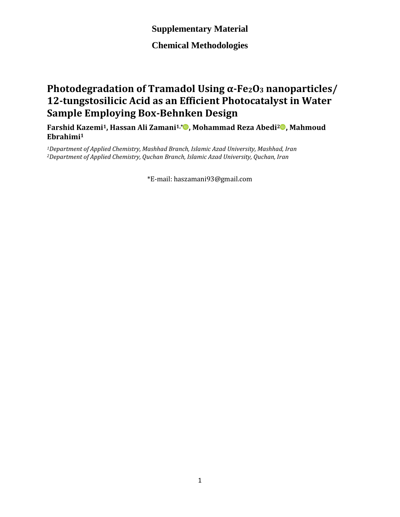**Chemical Methodologies**

## **Photodegradation of Tramadol Using α-Fe2O<sup>3</sup> nanoparticles/ 12-tungstosilicic Acid as an Efficient Photocatalyst in Water Sample Employing Box-Behnken Design**

**Farshid Kazemi1, Hassan Ali Zamani1,[\\*](https://orcid.org/0000-0003-3837-3745) , Mohammad Reza Abedi<sup>2</sup> , Mahmoud Ebrahimi<sup>1</sup>**

*<sup>1</sup>Department of Applied Chemistry, Mashhad Branch, Islamic Azad University, Mashhad, Iran <sup>2</sup>Department of Applied Chemistry, Quchan Branch, Islamic Azad University, Quchan, Iran*

\*E-mail: haszamani93@gmail.com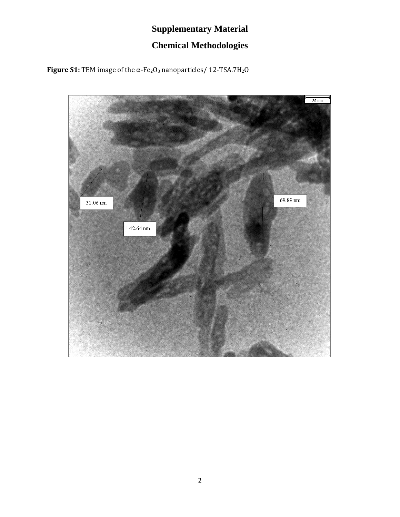# **Supplementary Material Chemical Methodologies**

**Figure S1:** TEM image of the α-Fe2O<sup>3</sup> nanoparticles/ 12-TSA.7H2O

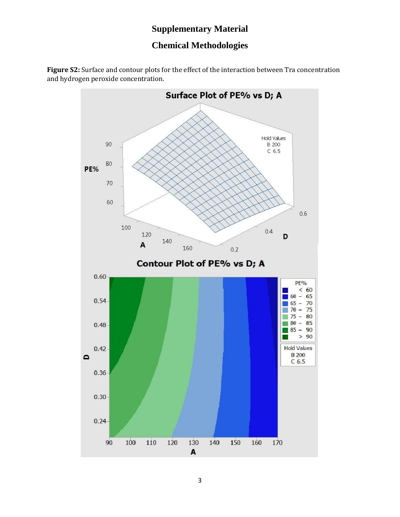#### **Chemical Methodologies**

**Figure S2:** Surface and contour plots for the effect of the interaction between Tra concentration and hydrogen peroxide concentration.

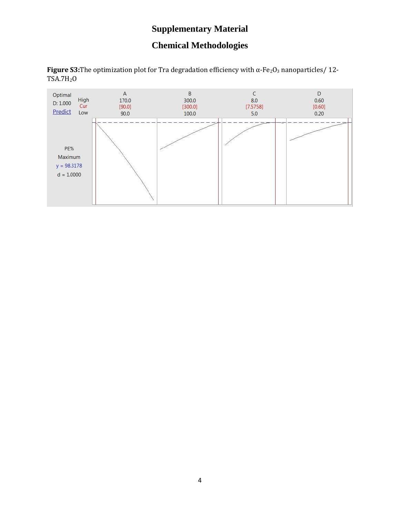### **Chemical Methodologies**

**Figure S3:**The optimization plot for Tra degradation efficiency with α-Fe<sub>2</sub>O<sub>3</sub> nanoparticles/ 12-TSA.7H2O

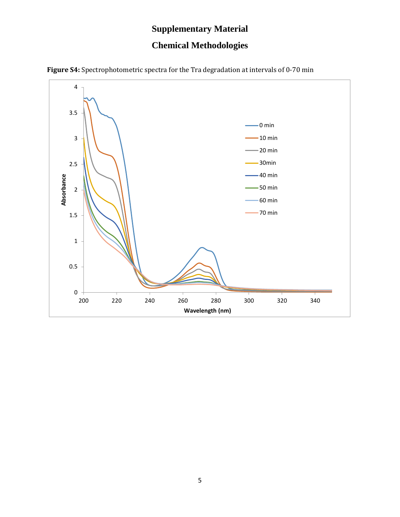### **Chemical Methodologies**



**Figure S4:** Spectrophotometric spectra for the Tra degradation at intervals of 0-70 min